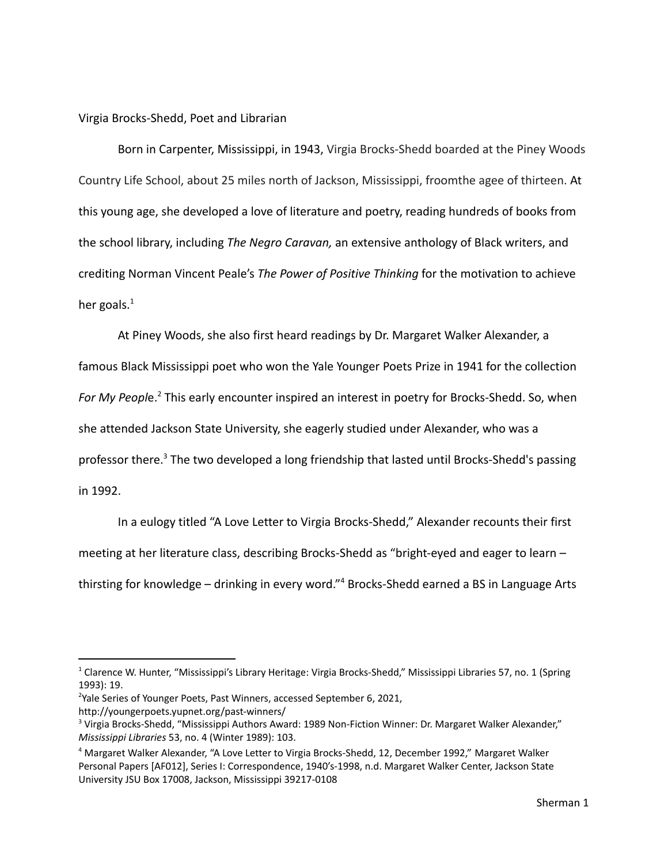Virgia Brocks-Shedd, Poet and Librarian

Born in Carpenter, Mississippi, in 1943, Virgia Brocks-Shedd boarded at the Piney Woods Country Life School, about 25 miles north of Jackson, Mississippi, froomthe agee of thirteen. At this young age, she developed a love of literature and poetry, reading hundreds of books from the school library, including *The Negro Caravan,* an extensive anthology of Black writers, and crediting Norman Vincent Peale's *The Power of Positive Thinking* for the motivation to achieve her goals. $<sup>1</sup>$ </sup>

At Piney Woods, she also first heard readings by Dr. Margaret Walker Alexander, a famous Black Mississippi poet who won the Yale Younger Poets Prize in 1941 for the collection *For My People.* This early encounter inspired an interest in poetry for Brocks-Shedd. So, when she attended Jackson State University, she eagerly studied under Alexander, who was a professor there.<sup>3</sup> The two developed a long friendship that lasted until Brocks-Shedd's passing in 1992.

In a eulogy titled "A Love Letter to Virgia Brocks-Shedd," Alexander recounts their first meeting at her literature class, describing Brocks-Shedd as "bright-eyed and eager to learn – thirsting for knowledge – drinking in every word."<sup>4</sup> Brocks-Shedd earned a BS in Language Arts

<sup>&</sup>lt;sup>1</sup> Clarence W. Hunter, "Mississippi's Library Heritage: Virgia Brocks-Shedd," Mississippi Libraries 57, no. 1 (Spring 1993): 19.

<sup>&</sup>lt;sup>2</sup>Yale Series of Younger Poets, Past Winners, accessed September 6, 2021,

http://youngerpoets.yupnet.org/past-winners/

<sup>&</sup>lt;sup>3</sup> Virgia Brocks-Shedd, "Mississippi Authors Award: 1989 Non-Fiction Winner: Dr. Margaret Walker Alexander," *Mississippi Libraries* 53, no. 4 (Winter 1989): 103.

<sup>4</sup> Margaret Walker Alexander, "A Love Letter to Virgia Brocks-Shedd, 12, December 1992," Margaret Walker Personal Papers [AF012], Series I: Correspondence, 1940's-1998, n.d. Margaret Walker Center, Jackson State University JSU Box 17008, Jackson, Mississippi 39217-0108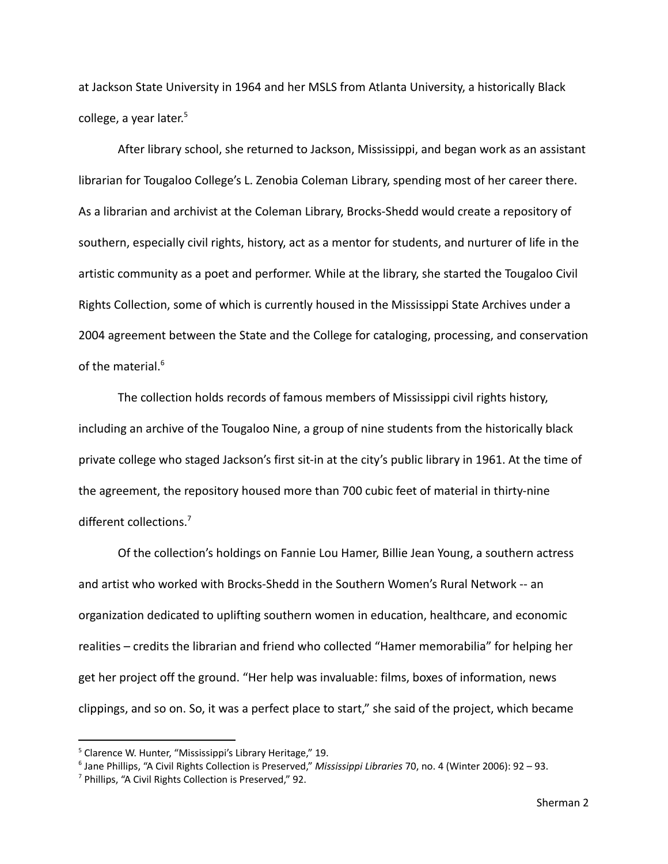at Jackson State University in 1964 and her MSLS from Atlanta University, a historically Black college, a year later.<sup>5</sup>

After library school, she returned to Jackson, Mississippi, and began work as an assistant librarian for Tougaloo College's L. Zenobia Coleman Library, spending most of her career there. As a librarian and archivist at the Coleman Library, Brocks-Shedd would create a repository of southern, especially civil rights, history, act as a mentor for students, and nurturer of life in the artistic community as a poet and performer. While at the library, she started the Tougaloo Civil Rights Collection, some of which is currently housed in the Mississippi State Archives under a 2004 agreement between the State and the College for cataloging, processing, and conservation of the material. $6$ 

The collection holds records of famous members of Mississippi civil rights history, including an archive of the Tougaloo Nine, a group of nine students from the historically black private college who staged Jackson's first sit-in at the city's public library in 1961. At the time of the agreement, the repository housed more than 700 cubic feet of material in thirty-nine different collections.<sup>7</sup>

Of the collection's holdings on Fannie Lou Hamer, Billie Jean Young, a southern actress and artist who worked with Brocks-Shedd in the Southern Women's Rural Network -- an organization dedicated to uplifting southern women in education, healthcare, and economic realities – credits the librarian and friend who collected "Hamer memorabilia" for helping her get her project off the ground. "Her help was invaluable: films, boxes of information, news clippings, and so on. So, it was a perfect place to start," she said of the project, which became

<sup>&</sup>lt;sup>5</sup> Clarence W. Hunter, "Mississippi's Library Heritage," 19.

<sup>6</sup> Jane Phillips, "A Civil Rights Collection is Preserved," *Mississippi Libraries* 70, no. 4 (Winter 2006): 92 – 93.

<sup>7</sup> Phillips, "A Civil Rights Collection is Preserved," 92.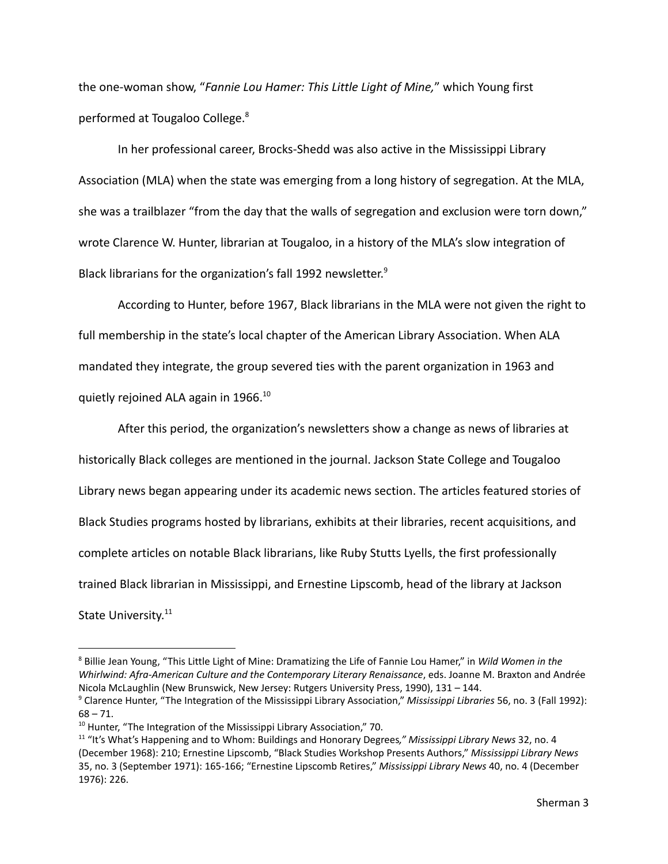the one-woman show, "*Fannie Lou Hamer: This Little Light of Mine,*" which Young first performed at Tougaloo College.<sup>8</sup>

In her professional career, Brocks-Shedd was also active in the Mississippi Library Association (MLA) when the state was emerging from a long history of segregation. At the MLA, she was a trailblazer "from the day that the walls of segregation and exclusion were torn down," wrote Clarence W. Hunter, librarian at Tougaloo, in a history of the MLA's slow integration of Black librarians for the organization's fall 1992 newsletter.<sup>9</sup>

According to Hunter, before 1967, Black librarians in the MLA were not given the right to full membership in the state's local chapter of the American Library Association. When ALA mandated they integrate, the group severed ties with the parent organization in 1963 and quietly rejoined ALA again in 1966.<sup>10</sup>

After this period, the organization's newsletters show a change as news of libraries at historically Black colleges are mentioned in the journal. Jackson State College and Tougaloo Library news began appearing under its academic news section. The articles featured stories of Black Studies programs hosted by librarians, exhibits at their libraries, recent acquisitions, and complete articles on notable Black librarians, like Ruby Stutts Lyells, the first professionally trained Black librarian in Mississippi, and Ernestine Lipscomb, head of the library at Jackson State University.<sup>11</sup>

<sup>8</sup> Billie Jean Young, "This Little Light of Mine: Dramatizing the Life of Fannie Lou Hamer," in *Wild Women in the Whirlwind: Afra-American Culture and the Contemporary Literary Renaissance*, eds. Joanne M. Braxton and Andrée Nicola McLaughlin (New Brunswick, New Jersey: Rutgers University Press, 1990), 131 – 144.

<sup>9</sup> Clarence Hunter, "The Integration of the Mississippi Library Association," *Mississippi Libraries* 56, no. 3 (Fall 1992):  $68 - 71.$ 

 $10$  Hunter, "The Integration of the Mississippi Library Association," 70.

<sup>11</sup> "It's What's Happening and to Whom: Buildings and Honorary Degrees*," Mississippi Library News* 32, no. 4 (December 1968): 210; Ernestine Lipscomb, "Black Studies Workshop Presents Authors," *Mississippi Library News* 35, no. 3 (September 1971): 165-166; "Ernestine Lipscomb Retires," *Mississippi Library News* 40, no. 4 (December 1976): 226.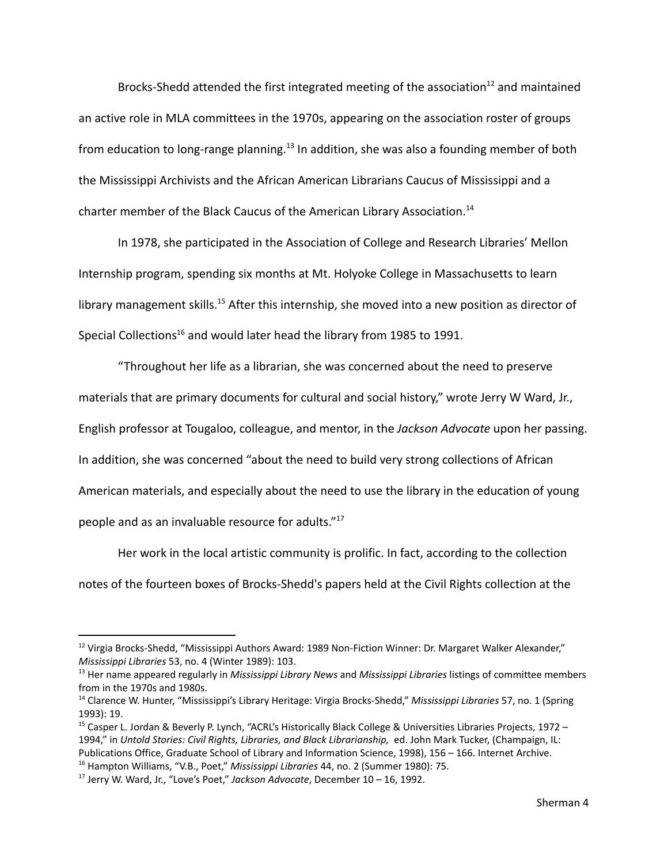Brocks-Shedd attended the first integrated meeting of the association<sup>12</sup> and maintained an active role in MLA committees in the 1970s, appearing on the association roster of groups from education to long-range planning.<sup>13</sup> In addition, she was also a founding member of both the Mississippi Archivists and the African American Librarians Caucus of Mississippi and a charter member of the Black Caucus of the American Library Association.<sup>14</sup>

In 1978, she participated in the Association of College and Research Libraries' Mellon Internship program, spending six months at Mt. Holyoke College in Massachusetts to learn library management skills.<sup>15</sup> After this internship, she moved into a new position as director of Special Collections<sup>16</sup> and would later head the library from 1985 to 1991.

"Throughout her life as a librarian, she was concerned about the need to preserve materials that are primary documents for cultural and social history," wrote Jerry W Ward, Jr., English professor at Tougaloo, colleague, and mentor, in the *Jackson Advocate* upon her passing. In addition, she was concerned "about the need to build very strong collections of African American materials, and especially about the need to use the library in the education of young people and as an invaluable resource for adults."<sup>17</sup>

Her work in the local artistic community is prolific. In fact, according to the collection notes of the fourteen boxes of Brocks-Shedd's papers held at the Civil Rights collection at the

<sup>&</sup>lt;sup>12</sup> Virgia Brocks-Shedd, "Mississippi Authors Award: 1989 Non-Fiction Winner: Dr. Margaret Walker Alexander," *Mississippi Libraries* 53, no. 4 (Winter 1989): 103.

<sup>13</sup> Her name appeared regularly in *Mississippi Library News* and *Mississippi Libraries* listings of committee members from in the 1970s and 1980s.

<sup>14</sup> Clarence W. Hunter, "Mississippi's Library Heritage: Virgia Brocks-Shedd," *Mississippi Libraries* 57, no. 1 (Spring 1993): 19.

<sup>16</sup> Hampton Williams, "V.B., Poet," *Mississippi Libraries* 44, no. 2 (Summer 1980): 75. <sup>15</sup> Casper L. Jordan & Beverly P. Lynch, "ACRL's Historically Black College & Universities Libraries Projects, 1972 – 1994," in *Untold Stories: Civil Rights, Libraries, and Black Librarianship,* ed. John Mark Tucker, (Champaign, IL: Publications Office, Graduate School of Library and Information Science, 1998), 156 – 166. Internet Archive.

<sup>17</sup> Jerry W. Ward, Jr., "Love's Poet," *Jackson Advocate*, December 10 – 16, 1992.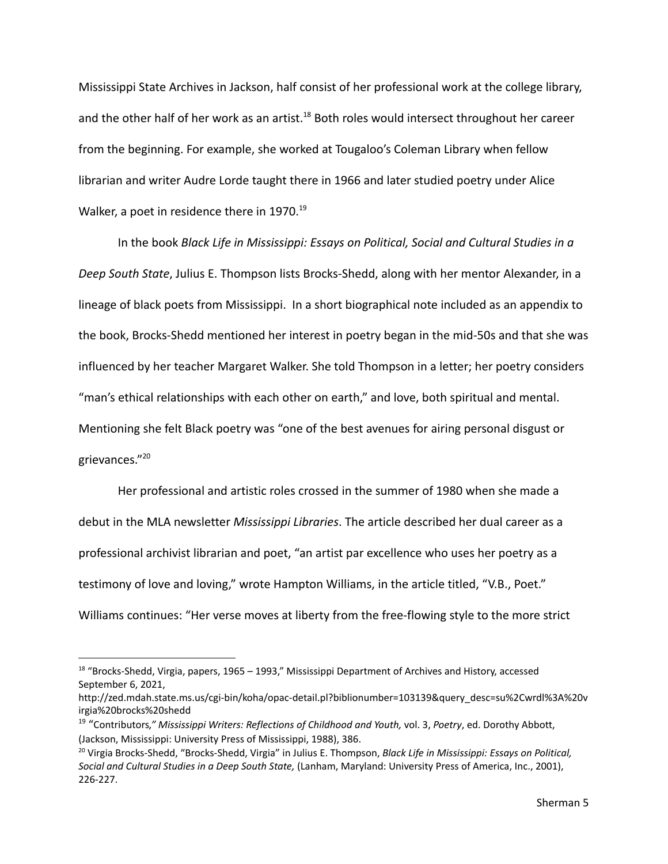Mississippi State Archives in Jackson, half consist of her professional work at the college library, and the other half of her work as an artist.<sup>18</sup> Both roles would intersect throughout her career from the beginning. For example, she worked at Tougaloo's Coleman Library when fellow librarian and writer Audre Lorde taught there in 1966 and later studied poetry under Alice Walker, a poet in residence there in 1970.<sup>19</sup>

In the book *Black Life in Mississippi: Essays on Political, Social and Cultural Studies in a Deep South State*, Julius E. Thompson lists Brocks-Shedd, along with her mentor Alexander, in a lineage of black poets from Mississippi. In a short biographical note included as an appendix to the book, Brocks-Shedd mentioned her interest in poetry began in the mid-50s and that she was influenced by her teacher Margaret Walker. She told Thompson in a letter; her poetry considers "man's ethical relationships with each other on earth," and love, both spiritual and mental. Mentioning she felt Black poetry was "one of the best avenues for airing personal disgust or grievances." 20

Her professional and artistic roles crossed in the summer of 1980 when she made a debut in the MLA newsletter *Mississippi Libraries*. The article described her dual career as a professional archivist librarian and poet, "an artist par excellence who uses her poetry as a testimony of love and loving," wrote Hampton Williams, in the article titled, "V.B., Poet." Williams continues: "Her verse moves at liberty from the free-flowing style to the more strict

<sup>&</sup>lt;sup>18</sup> "Brocks-Shedd, Virgia, papers, 1965 – 1993," Mississippi Department of Archives and History, accessed September 6, 2021,

http://zed.mdah.state.ms.us/cgi-bin/koha/opac-detail.pl?biblionumber=103139&query\_desc=su%2Cwrdl%3A%20v irgia%20brocks%20shedd

<sup>19</sup> "Contributors*," Mississippi Writers: Reflections of Childhood and Youth,* vol. 3, *Poetry*, ed. Dorothy Abbott, (Jackson, Mississippi: University Press of Mississippi, 1988), 386.

<sup>20</sup> Virgia Brocks-Shedd, "Brocks-Shedd, Virgia" in Julius E. Thompson, *Black Life in Mississippi: Essays on Political, Social and Cultural Studies in a Deep South State,* (Lanham, Maryland: University Press of America, Inc., 2001), 226-227.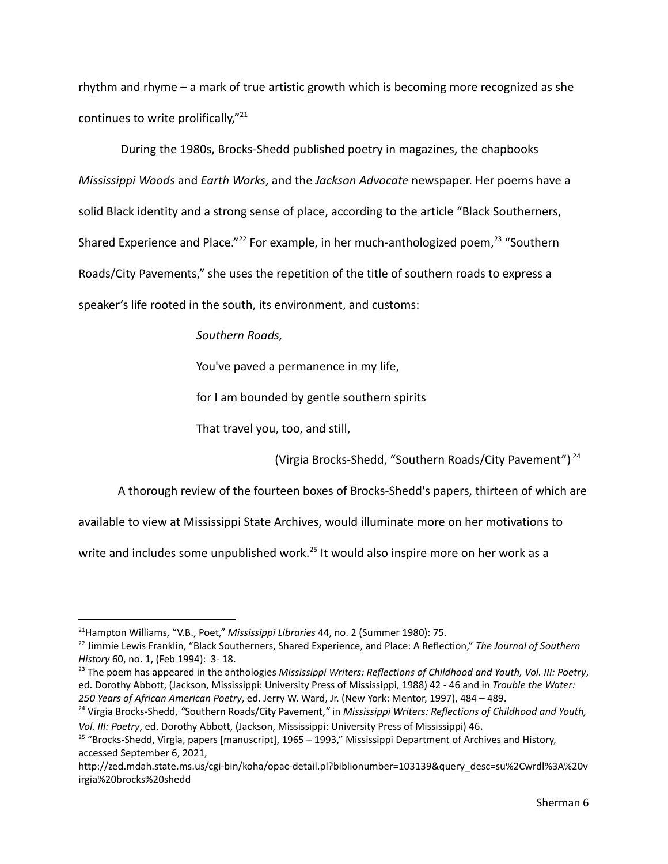rhythm and rhyme – a mark of true artistic growth which is becoming more recognized as she continues to write prolifically,"<sup>21</sup>

During the 1980s, Brocks-Shedd published poetry in magazines, the chapbooks *Mississippi Woods* and *Earth Works*, and the *Jackson Advocate* newspaper. Her poems have a solid Black identity and a strong sense of place, according to the article "Black Southerners, Shared Experience and Place."<sup>22</sup> For example, in her much-anthologized poem.<sup>23</sup> "Southern Roads/City Pavements," she uses the repetition of the title of southern roads to express a speaker's life rooted in the south, its environment, and customs:

*Southern Roads,*

You've paved a permanence in my life,

for I am bounded by gentle southern spirits

That travel you, too, and still,

(Virgia Brocks-Shedd, "Southern Roads/City Pavement") <sup>24</sup>

A thorough review of the fourteen boxes of Brocks-Shedd's papers, thirteen of which are

available to view at Mississippi State Archives, would illuminate more on her motivations to

write and includes some unpublished work.<sup>25</sup> It would also inspire more on her work as a

<sup>23</sup> The poem has appeared in the anthologies *Mississippi Writers: Reflections of Childhood and Youth, Vol. III: Poetry*, ed. Dorothy Abbott, (Jackson, Mississippi: University Press of Mississippi, 1988) 42 - 46 and in *Trouble the Water: 250 Years of African American Poetry*, ed. Jerry W. Ward, Jr. (New York: Mentor, 1997), 484 – 489.

<sup>21</sup>Hampton Williams, "V.B., Poet," *Mississippi Libraries* 44, no. 2 (Summer 1980): 75.

<sup>22</sup> Jimmie Lewis Franklin, "Black Southerners, Shared Experience, and Place: A Reflection," *The Journal of Southern History* 60, no. 1, (Feb 1994): 3- 18.

<sup>24</sup> Virgia Brocks-Shedd, *"*Southern Roads/City Pavement,*"* in *Mississippi Writers: Reflections of Childhood and Youth, Vol. III: Poetry*, ed. Dorothy Abbott, (Jackson, Mississippi: University Press of Mississippi) 46.

<sup>&</sup>lt;sup>25</sup> "Brocks-Shedd, Virgia, papers [manuscript], 1965 – 1993," Mississippi Department of Archives and History, accessed September 6, 2021,

http://zed.mdah.state.ms.us/cgi-bin/koha/opac-detail.pl?biblionumber=103139&query\_desc=su%2Cwrdl%3A%20v irgia%20brocks%20shedd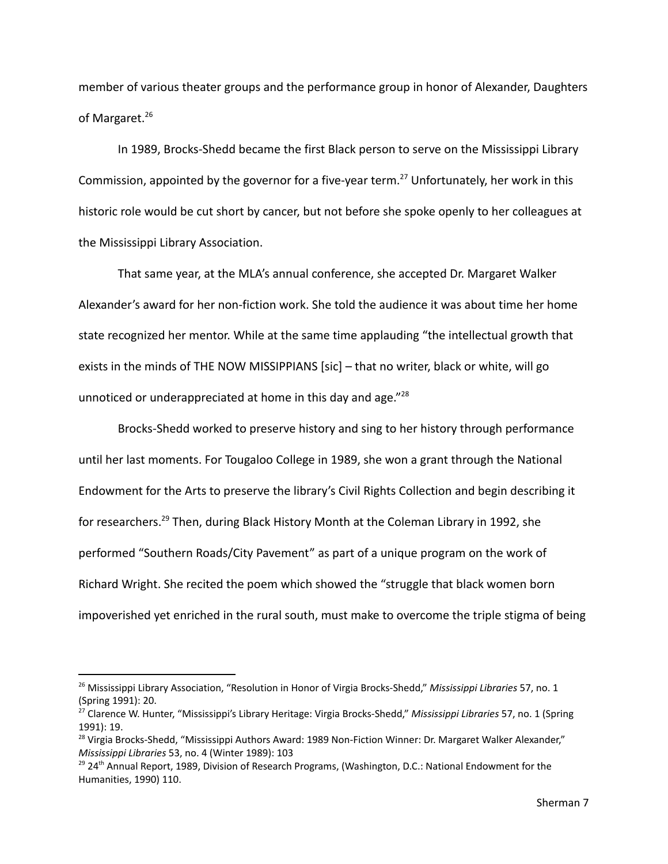member of various theater groups and the performance group in honor of Alexander, Daughters of Margaret.<sup>26</sup>

In 1989, Brocks-Shedd became the first Black person to serve on the Mississippi Library Commission, appointed by the governor for a five-year term.<sup>27</sup> Unfortunately, her work in this historic role would be cut short by cancer, but not before she spoke openly to her colleagues at the Mississippi Library Association.

That same year, at the MLA's annual conference, she accepted Dr. Margaret Walker Alexander's award for her non-fiction work. She told the audience it was about time her home state recognized her mentor. While at the same time applauding "the intellectual growth that exists in the minds of THE NOW MISSIPPIANS [sic] – that no writer, black or white, will go unnoticed or underappreciated at home in this day and age."<sup>28</sup>

Brocks-Shedd worked to preserve history and sing to her history through performance until her last moments. For Tougaloo College in 1989, she won a grant through the National Endowment for the Arts to preserve the library's Civil Rights Collection and begin describing it for researchers.<sup>29</sup> Then, during Black History Month at the Coleman Library in 1992, she performed "Southern Roads/City Pavement" as part of a unique program on the work of Richard Wright. She recited the poem which showed the "struggle that black women born impoverished yet enriched in the rural south, must make to overcome the triple stigma of being

<sup>26</sup> Mississippi Library Association, "Resolution in Honor of Virgia Brocks-Shedd," *Mississippi Libraries* 57, no. 1 (Spring 1991): 20.

<sup>27</sup> Clarence W. Hunter, "Mississippi's Library Heritage: Virgia Brocks-Shedd," *Mississippi Libraries* 57, no. 1 (Spring 1991): 19.

<sup>&</sup>lt;sup>28</sup> Virgia Brocks-Shedd, "Mississippi Authors Award: 1989 Non-Fiction Winner: Dr. Margaret Walker Alexander," *Mississippi Libraries* 53, no. 4 (Winter 1989): 103

<sup>&</sup>lt;sup>29</sup> 24<sup>th</sup> Annual Report, 1989, Division of Research Programs, (Washington, D.C.: National Endowment for the Humanities, 1990) 110.